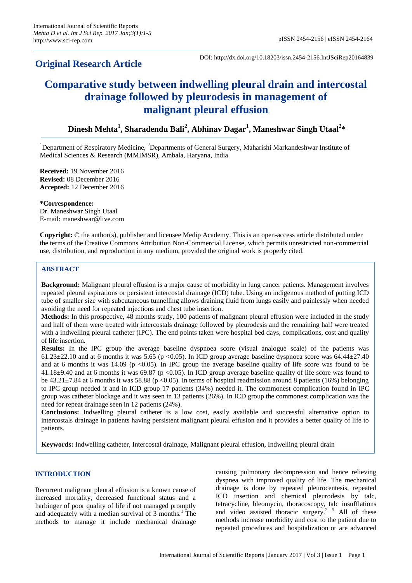## **Original Research Article**

DOI: http://dx.doi.org/10.18203/issn.2454-2156.IntJSciRep20164839

# **Comparative study between indwelling pleural drain and intercostal drainage followed by pleurodesis in management of malignant pleural effusion**

**Dinesh Mehta<sup>1</sup> , Sharadendu Bali<sup>2</sup> , Abhinav Dagar<sup>1</sup> , Maneshwar Singh Utaal<sup>2</sup> \***

<sup>1</sup>Department of Respiratory Medicine,  ${}^{2}$ Departments of General Surgery, Maharishi Markandeshwar Institute of Medical Sciences & Research (MMIMSR), Ambala, Haryana, India

**Received:** 19 November 2016 **Revised:** 08 December 2016 **Accepted:** 12 December 2016

**\*Correspondence:** Dr. Maneshwar Singh Utaal E-mail: maneshwar@live.com

**Copyright:** © the author(s), publisher and licensee Medip Academy. This is an open-access article distributed under the terms of the Creative Commons Attribution Non-Commercial License, which permits unrestricted non-commercial use, distribution, and reproduction in any medium, provided the original work is properly cited.

## **ABSTRACT**

**Background:** Malignant pleural effusion is a major cause of morbidity in lung cancer patients. Management involves repeated pleural aspirations or persistent intercostal drainage (ICD) tube. Using an indigenous method of putting ICD tube of smaller size with subcutaneous tunnelling allows draining fluid from lungs easily and painlessly when needed avoiding the need for repeated injections and chest tube insertion.

**Methods:** In this prospective, 48 months study, 100 patients of malignant pleural effusion were included in the study and half of them were treated with intercostals drainage followed by pleurodesis and the remaining half were treated with a indwelling pleural catheter (IPC). The end points taken were hospital bed days, complications, cost and quality of life insertion.

**Results:** In the IPC group the average baseline dyspnoea score (visual analogue scale) of the patients was 61.23 $\pm$ 22.10 and at 6 months it was 5.65 (p <0.05). In ICD group average baseline dyspnoea score was 64.44 $\pm$ 27.40 and at 6 months it was 14.09 ( $p$  <0.05). In IPC group the average baseline quality of life score was found to be  $41.18\pm9.40$  and at 6 months it was 69.87 (p <0.05). In ICD group average baseline quality of life score was found to be  $43.21 \pm 7.84$  at 6 months it was 58.88 (p < 0.05). In terms of hospital readmission around 8 patients (16%) belonging to IPC group needed it and in ICD group 17 patients (34%) needed it. The commonest complication found in IPC group was catheter blockage and it was seen in 13 patients (26%). In ICD group the commonest complication was the need for repeat drainage seen in 12 patients (24%).

**Conclusions:** Indwelling pleural catheter is a low cost, easily available and successful alternative option to intercostals drainage in patients having persistent malignant pleural effusion and it provides a better quality of life to patients.

**Keywords:** Indwelling catheter, Intercostal drainage, Malignant pleural effusion, Indwelling pleural drain

## **INTRODUCTION**

Recurrent malignant pleural effusion is a known cause of increased mortality, decreased functional status and a harbinger of poor quality of life if not managed promptly and adequately with a median survival of  $3$  months.<sup>1</sup> The methods to manage it include mechanical drainage causing pulmonary decompression and hence relieving dyspnea with improved quality of life. The mechanical drainage is done by repeated pleurocentesis, repeated ICD insertion and chemical pleurodesis by talc, tetracycline, bleomycin, thoracoscopy, talc insufflations and video assisted thoracic surgery.<sup>2—5</sup> All of these methods increase morbidity and cost to the patient due to repeated procedures and hospitalization or are advanced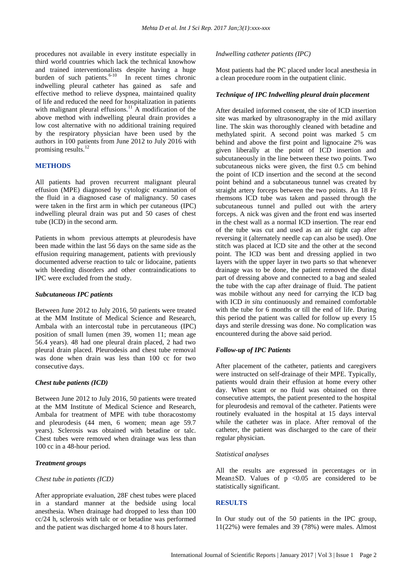procedures not available in every institute especially in third world countries which lack the technical knowhow and trained interventionalists despite having a huge burden of such patients. $6-10$  In recent times chronic indwelling pleural catheter has gained as safe and effective method to relieve dyspnea, maintained quality of life and reduced the need for hospitalization in patients with malignant pleural effusions.<sup>11</sup> A modification of the above method with indwelling pleural drain provides a low cost alternative with no additional training required by the respiratory physician have been used by the authors in 100 patients from June 2012 to July 2016 with promising results.<sup>12</sup>

## **METHODS**

All patients had proven recurrent malignant pleural effusion (MPE) diagnosed by cytologic examination of the fluid in a diagnosed case of malignancy. 50 cases were taken in the first arm in which per cutaneous (IPC) indwelling pleural drain was put and 50 cases of chest tube (ICD) in the second arm.

Patients in whom previous attempts at pleurodesis have been made within the last 56 days on the same side as the effusion requiring management, patients with previously documented adverse reaction to talc or lidocaine, patients with bleeding disorders and other contraindications to IPC were excluded from the study.

## *Subcutaneous IPC patients*

Between June 2012 to July 2016, 50 patients were treated at the MM Institute of Medical Science and Research, Ambala with an intercostal tube in percutaneous (IPC) position of small lumen (men 39, women 11; mean age 56.4 years). 48 had one pleural drain placed, 2 had two pleural drain placed. Pleurodesis and chest tube removal was done when drain was less than 100 cc for two consecutive days.

## *Chest tube patients (ICD)*

Between June 2012 to July 2016, 50 patients were treated at the MM Institute of Medical Science and Research, Ambala for treatment of MPE with tube thoracostomy and pleurodesis (44 men, 6 women; mean age 59.7 years). Sclerosis was obtained with betadine or talc. Chest tubes were removed when drainage was less than 100 cc in a 48-hour period.

## *Treatment groups*

#### *Chest tube in patients (ICD)*

After appropriate evaluation, 28F chest tubes were placed in a standard manner at the bedside using local anesthesia. When drainage had dropped to less than 100 cc/24 h, sclerosis with talc or or betadine was performed and the patient was discharged home 4 to 8 hours later.

## *Indwelling catheter patients (IPC)*

Most patients had the PC placed under local anesthesia in a clean procedure room in the outpatient clinic.

## *Technique of IPC Indwelling pleural drain placement*

After detailed informed consent, the site of ICD insertion site was marked by ultrasonography in the mid axillary line. The skin was thoroughly cleaned with betadine and methylated spirit. A second point was marked 5 cm behind and above the first point and lignocaine 2% was given liberally at the point of ICD insertion and subcutaneously in the line between these two points. Two subcutaneous nicks were given, the first 0.5 cm behind the point of ICD insertion and the second at the second point behind and a subcutaneous tunnel was created by straight artery forceps between the two points. An 18 Fr rhemsons ICD tube was taken and passed through the subcutaneous tunnel and pulled out with the artery forceps. A nick was given and the front end was inserted in the chest wall as a normal ICD insertion. The rear end of the tube was cut and used as an air tight cap after reversing it (alternately needle cap can also be used). One stitch was placed at ICD site and the other at the second point. The ICD was bent and dressing applied in two layers with the upper layer in two parts so that whenever drainage was to be done, the patient removed the distal part of dressing above and connected to a bag and sealed the tube with the cap after drainage of fluid. The patient was mobile without any need for carrying the ICD bag with ICD *in situ* continuously and remained comfortable with the tube for 6 months or till the end of life. During this period the patient was called for follow up every 15 days and sterile dressing was done. No complication was encountered during the above said period.

## *Follow-up of IPC Patients*

After placement of the catheter, patients and caregivers were instructed on self-drainage of their MPE. Typically, patients would drain their effusion at home every other day. When scant or no fluid was obtained on three consecutive attempts, the patient presented to the hospital for pleurodesis and removal of the catheter. Patients were routinely evaluated in the hospital at 15 days interval while the catheter was in place. After removal of the catheter, the patient was discharged to the care of their regular physician.

#### *Statistical analyses*

All the results are expressed in percentages or in Mean $\pm$ SD. Values of p <0.05 are considered to be statistically significant.

#### **RESULTS**

In Our study out of the 50 patients in the IPC group, 11(22%) were females and 39 (78%) were males. Almost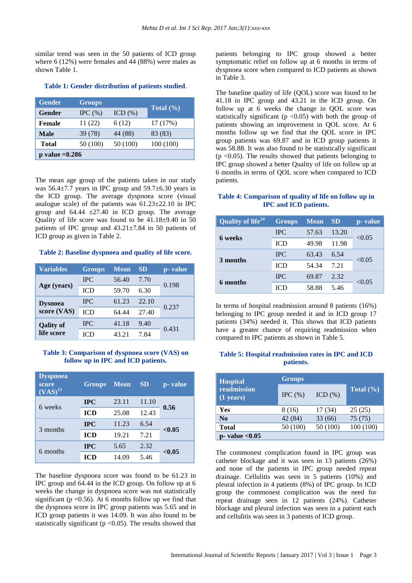similar trend was seen in the 50 patients of ICD group where 6 (12%) were females and 44 (88%) were males as shown Table 1.

| <b>Gender</b>     | <b>Groups</b> |            |              |  |
|-------------------|---------------|------------|--------------|--|
| Gender            | IPC $(\% )$   | ICD $(\%)$ | Total $(\%)$ |  |
| <b>Female</b>     | 11 (22)       | 6 (12)     | 17 (17%)     |  |
| <b>Male</b>       | 39 (78)       | 44 (88)    | 83 (83)      |  |
| <b>Total</b>      | 50 (100)      | 50 (100)   | 100(100)     |  |
| $p$ value = 0.286 |               |            |              |  |

## **Table 1: Gender distribution of patients studied**.

The mean age group of the patients taken in our study was  $56.4\pm7.7$  years in IPC group and  $59.7\pm6.30$  years in the ICD group. The average dyspnoea score (visual analogue scale) of the patients was  $61.23 \pm 22.10$  in IPC group and  $64.44 \pm 27.40$  in ICD group. The average Quality of life score was found to be 41.18±9.40 in 50 patients of IPC group and 43.21±7.84 in 50 patients of ICD group as given in Table 2.

**Table 2: Baseline dyspnoea and quality of life score.**

| <b>Variables</b> | <b>Groups</b> | <b>Mean</b> | <b>SD</b> | p- value |  |
|------------------|---------------|-------------|-----------|----------|--|
| Age (years)      | <b>IPC</b>    | 56.40       | 7.70      |          |  |
|                  | <b>ICD</b>    | 59.70       | 6.30      | 0.198    |  |
| <b>Dysnoea</b>   | <b>IPC</b>    | 61.23       | 22.10     | 0.237    |  |
| score (VAS)      | ICD           | 64.44       | 27.40     |          |  |
| <b>Qality of</b> | <b>IPC</b>    | 41.18       | 9.40      | 0.431    |  |
| life score       | ICD           | 43.21       | 7.84      |          |  |

## **Table 3: Comparison of dyspnoea score (VAS) on follow up in IPC and ICD patients.**

| <b>Dyspnoea</b><br>score<br>$(VAS)^{13}$ | <b>Groups</b> | <b>Mean</b> | <b>SD</b> | p- value |
|------------------------------------------|---------------|-------------|-----------|----------|
| 6 weeks                                  | <b>IPC</b>    | 23.11       | 11.10     | 0.56     |
|                                          | <b>ICD</b>    | 25.08       | 12.43     |          |
| 3 months                                 | <b>IPC</b>    | 11.23       | 6.54      | < 0.05   |
|                                          | <b>ICD</b>    | 19.21       | 7.21      |          |
| 6 months                                 | <b>IPC</b>    | 5.65        | 2.32      | < 0.05   |
|                                          | <b>ICD</b>    | 14.09       | 5.46      |          |

The baseline dyspnoea score was found to be 61.23 in IPC group and 64.44 in the ICD group. On follow up at 6 weeks the change in dyspnoea score was not statistically significant ( $p = 0.56$ ). At 6 months follow up we find that the dyspnoea score in IPC group patients was 5.65 and in ICD group patients it was 14.09. It was also found to be statistically significant ( $p < 0.05$ ). The results showed that patients belonging to IPC group showed a better symptomatic relief on follow up at 6 months in terms of dyspnoea score when compared to ICD patients as shown in Table 3.

The baseline quality of life (QOL) score was found to be 41.18 in IPC group and 43.21 in the ICD group. On follow up at 6 weeks the change in QOL score was statistically significant ( $p \le 0.05$ ) with both the group of patients showing an improvement in QOL score. At 6 months follow up we find that the QOL score in IPC group patients was 69.87 and in ICD group patients it was 58.88. It was also found to be statistically significant  $(p \le 0.05)$ . The results showed that patients belonging to IPC group showed a better Quality of life on follow up at 6 months in terms of QOL score when compared to ICD patients.

## **Table 4: Comparison of quality of life on follow up in IPC and ICD patients.**

| Quality of life <sup>141</sup> | <b>Groups</b> | <b>Mean</b> | <b>SD</b> | p- value |
|--------------------------------|---------------|-------------|-----------|----------|
| 6 weeks                        | <b>IPC</b>    | 57.63       | 13.20     | < 0.05   |
|                                | ICD           | 49.98       | 11.98     |          |
| 3 months                       | <b>IPC</b>    | 63.43       | 6.54      | < 0.05   |
|                                | ICD           | 54.34       | 7.21      |          |
|                                | <b>IPC</b>    | 69.87       | 2.32      |          |
| 6 months                       | <b>ICD</b>    | 58.88       | 5.46      | < 0.05   |

In terms of hospital readmission around 8 patients (16%) belonging to IPC group needed it and in ICD group 17 patients (34%) needed it. This shows that ICD patients have a greater chance of requiring readmission when compared to IPC patients as shown in Table 5.

## **Table 5: Hospital readmission rates in IPC and ICD patients.**

| <b>Hospital</b>                    | <b>Groups</b> |             |               |
|------------------------------------|---------------|-------------|---------------|
| readmission<br>$(1 \text{ years})$ | IPC $(\% )$   | ICD $(\% )$ | Total $(\% )$ |
| <b>Yes</b>                         | 8 (16)        | 17 (34)     | 25(25)        |
| N <sub>0</sub>                     | 42(84)        | 33(66)      | 75 (75)       |
| <b>Total</b>                       | 50 (100)      | 50 (100)    | 100(100)      |
| $p$ - value < 0.05                 |               |             |               |

The commonest complication found in IPC group was catheter blockage and it was seen in 13 patients (26%) and none of the patients in IPC group needed repeat drainage. Cellulitis was seen in 5 patients (10%) and pleural infection in 4 patients (8%) of IPC group. In ICD group the commonest complication was the need for repeat drainage seen in 12 patients (24%). Catheter blockage and pleural infection was seen in a patient each and cellulitis was seen in 3 patients of ICD group.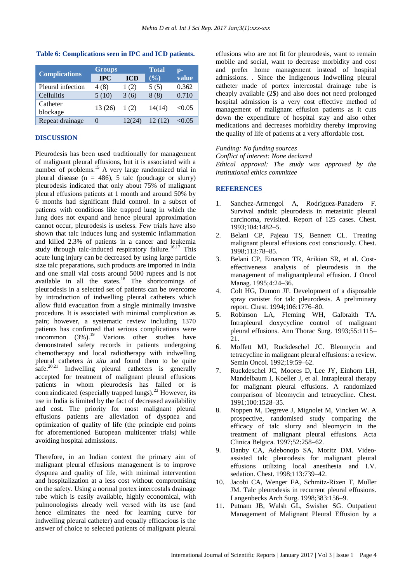| <b>Complications</b> | <b>Groups</b>     |            | <b>Total</b> | $\mathbf{p}$ - |
|----------------------|-------------------|------------|--------------|----------------|
|                      | <b>IPC</b>        | <b>ICD</b> | $($ %)       | value          |
| Pleural infection    | 4 (8)             | 1(2)       | 5(5)         | 0.362          |
| Cellulitis           | 5(10)             | 3(6)       | 8(8)         | 0.710          |
| Catheter<br>blockage | 13 (26)           | 1(2)       | 14(14)       | < 0.05         |
| Repeat drainage      | $\mathbf{\Omega}$ | 12(24)     | 12 (12)      | <0.05          |

## **Table 6: Complications seen in IPC and ICD patients.**

## **DISCUSSION**

Pleurodesis has been used traditionally for management of malignant pleural effusions, but it is associated with a number of problems.<sup>15</sup> A very large randomized trial in pleural disease ( $n = 486$ ), 5 talc (poudrage or slurry) pleurodesis indicated that only about 75% of malignant pleural effusions patients at 1 month and around 50% by 6 months had significant fluid control. In a subset of patients with conditions like trapped lung in which the lung does not expand and hence pleural approximation cannot occur, pleurodesis is useless. Few trials have also shown that talc induces lung and systemic inflammation and killed 2.3% of patients in a cancer and leukemia study through talc-induced respiratory failure.<sup>16,17</sup> This acute lung injury can be decreased by using large particle size talc preparations, such products are imported in India and one small vial costs around 5000 rupees and is not available in all the states. $18$  The shortcomings of pleurodesis in a selected set of patients can be overcome by introduction of indwelling pleural catheters which allow fluid evacuation from a single minimally invasive procedure. It is associated with minimal complication as pain; however, a systematic review including 1370 patients has confirmed that serious complications were uncommon  $(3\%)$ .<sup>19</sup> Various other studies have demonstrated safety records in patients undergoing chemotherapy and local radiotherapy with indwelling pleural catheters *in situ* and found them to be quite safe.<sup>20,21</sup> Indwelling pleural catheters is generally accepted for treatment of malignant pleural effusions patients in whom pleurodesis has failed or is contraindicated (especially trapped lungs). $^{22}$  However, its use in India is limited by the fact of decreased availability and cost. The priority for most malignant pleural effusions patients are alleviation of dyspnea and optimization of quality of life (the principle end points for aforementioned European multicenter trials) while avoiding hospital admissions.

Therefore, in an Indian context the primary aim of malignant pleural effusions management is to improve dyspnea and quality of life, with minimal intervention and hospitalization at a less cost without compromising on the safety. Using a normal portex intercostals drainage tube which is easily available, highly economical, with pulmonologists already well versed with its use (and hence eliminates the need for learning curve for indwelling pleural catheter) and equally efficacious is the answer of choice to selected patients of malignant pleural effusions who are not fit for pleurodesis, want to remain mobile and social, want to decrease morbidity and cost and prefer home management instead of hospital admissions. . Since the Indigenous Indwelling pleural catheter made of portex intercostal drainage tube is cheaply available (2\$) and also does not need prolonged hospital admission is a very cost effective method of management of malignant effusion patients as it cuts down the expenditure of hospital stay and also other medications and decreases morbidity thereby improving the quality of life of patients at a very affordable cost.

## *Funding: No funding sources*

*Conflict of interest: None declared*

*Ethical approval: The study was approved by the institutional ethics committee*

## **REFERENCES**

- 1. Sanchez-Armengol A, Rodriguez-Panadero F. Survival andtalc pleurodesis in metastatic pleural carcinoma, revisited. Report of 125 cases. Chest. 1993;104:1482–5.
- 2. Belani CP, Pajeau TS, Bennett CL. Treating malignant pleural effusions cost consciously. Chest. 1998;113:78–85.
- 3. Belani CP, Einarson TR, Arikian SR, et al. Costeffectiveness analysis of pleurodesis in the management of malignantpleural effusion. J Oncol Manag. 1995;4:24–36.
- 4. Colt HG, Dumon JF. Development of a disposable spray canister for talc pleurodesis. A preliminary report. Chest. 1994;106:1776–80.
- 5. Robinson LA, Fleming WH, Galbraith TA. Intrapleural doxycycline control of malignant pleural effusions. Ann Thorac Surg. 1993;55:1115– 21.
- 6. Moffett MJ, Ruckdeschel JC. Bleomycin and tetracycline in malignant pleural effusions: a review. Semin Oncol. 1992;19:59–62.
- 7. Ruckdeschel JC, Moores D, Lee JY, Einhorn LH, Mandelbaum I, Koeller J, et al. Intrapleural therapy for malignant pleural effusions. A randomized comparison of bleomycin and tetracycline. Chest. 1991;100:1528–35.
- 8. Noppen M, Degreve J, Mignolet M, Vincken W. A prospective, randomised study comparing the efficacy of talc slurry and bleomycin in the treatment of malignant pleural effusions. Acta Clinica Belgica. 1997;52:258–62.
- 9. Danby CA, Adebonojo SA, Moritz DM. Videoassisted talc pleurodesis for malignant pleural effusions utilizing local anesthesia and I.V. sedation. Chest. 1998;113:739–42.
- 10. Jacobi CA, Wenger FA, Schmitz-Rixen T, Muller JM. Talc pleurodesis in recurrent pleural effusions. Langenbecks Arch Surg. 1998;383:156–9.
- 11. Putnam JB, Walsh GL, Swisher SG. Outpatient Management of Malignant Pleural Effusion by a